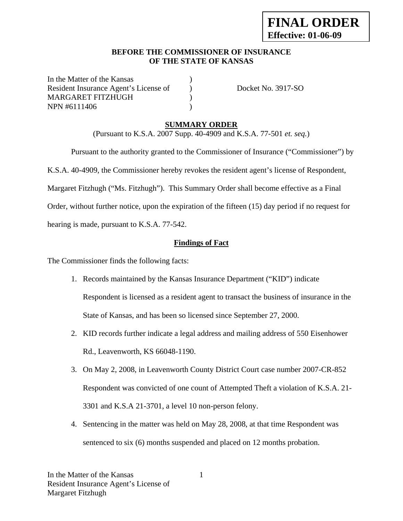#### **BEFORE THE COMMISSIONER OF INSURANCE OF THE STATE OF KANSAS**

In the Matter of the Kansas Resident Insurance Agent's License of  $Docket No. 3917-SO$ MARGARET FITZHUGH (1) NPN #6111406 (1)

### **SUMMARY ORDER**

(Pursuant to K.S.A. 2007 Supp. 40-4909 and K.S.A. 77-501 *et. seq.*)

 Pursuant to the authority granted to the Commissioner of Insurance ("Commissioner") by K.S.A. 40-4909, the Commissioner hereby revokes the resident agent's license of Respondent, Margaret Fitzhugh ("Ms. Fitzhugh"). This Summary Order shall become effective as a Final Order, without further notice, upon the expiration of the fifteen (15) day period if no request for hearing is made, pursuant to K.S.A. 77-542.

## **Findings of Fact**

The Commissioner finds the following facts:

- 1. Records maintained by the Kansas Insurance Department ("KID") indicate Respondent is licensed as a resident agent to transact the business of insurance in the State of Kansas, and has been so licensed since September 27, 2000.
- 2. KID records further indicate a legal address and mailing address of 550 Eisenhower Rd., Leavenworth, KS 66048-1190.
- 3. On May 2, 2008, in Leavenworth County District Court case number 2007-CR-852 Respondent was convicted of one count of Attempted Theft a violation of K.S.A. 21- 3301 and K.S.A 21-3701, a level 10 non-person felony.
- 4. Sentencing in the matter was held on May 28, 2008, at that time Respondent was sentenced to six (6) months suspended and placed on 12 months probation.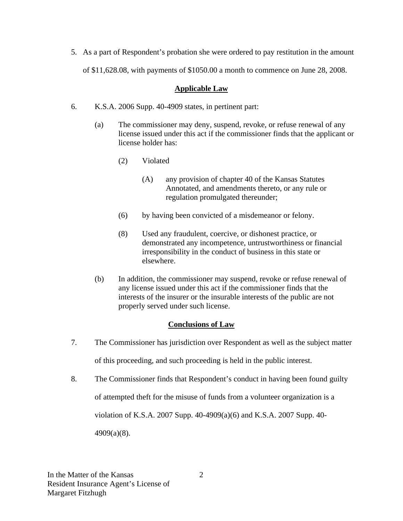5. As a part of Respondent's probation she were ordered to pay restitution in the amount of \$11,628.08, with payments of \$1050.00 a month to commence on June 28, 2008.

#### **Applicable Law**

- 6. K.S.A. 2006 Supp. 40-4909 states, in pertinent part:
	- (a) The commissioner may deny, suspend, revoke, or refuse renewal of any license issued under this act if the commissioner finds that the applicant or license holder has:
		- (2) Violated
			- (A) any provision of chapter 40 of the Kansas Statutes Annotated, and amendments thereto, or any rule or regulation promulgated thereunder;
		- (6) by having been convicted of a misdemeanor or felony.
		- (8) Used any fraudulent, coercive, or dishonest practice, or demonstrated any incompetence, untrustworthiness or financial irresponsibility in the conduct of business in this state or elsewhere.
	- (b) In addition, the commissioner may suspend, revoke or refuse renewal of any license issued under this act if the commissioner finds that the interests of the insurer or the insurable interests of the public are not properly served under such license.

### **Conclusions of Law**

- 7. The Commissioner has jurisdiction over Respondent as well as the subject matter of this proceeding, and such proceeding is held in the public interest.
- 8. The Commissioner finds that Respondent's conduct in having been found guilty

of attempted theft for the misuse of funds from a volunteer organization is a

violation of K.S.A. 2007 Supp. 40-4909(a)(6) and K.S.A. 2007 Supp. 40-

4909(a)(8).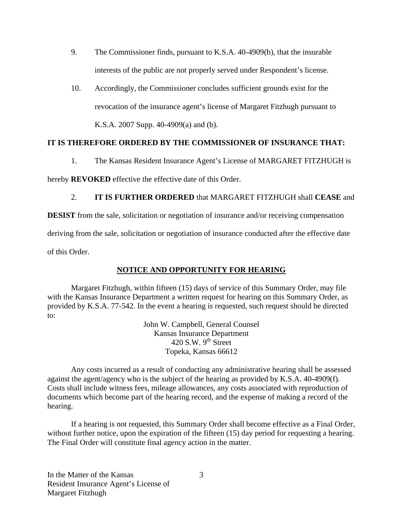- 9. The Commissioner finds, pursuant to K.S.A. 40-4909(b), that the insurable interests of the public are not properly served under Respondent's license.
- 10. Accordingly, the Commissioner concludes sufficient grounds exist for the revocation of the insurance agent's license of Margaret Fitzhugh pursuant to K.S.A. 2007 Supp. 40-4909(a) and (b).

### **IT IS THEREFORE ORDERED BY THE COMMISSIONER OF INSURANCE THAT:**

1. The Kansas Resident Insurance Agent's License of MARGARET FITZHUGH is

hereby **REVOKED** effective the effective date of this Order.

## 2. **IT IS FURTHER ORDERED** that MARGARET FITZHUGH shall **CEASE** and

**DESIST** from the sale, solicitation or negotiation of insurance and/or receiving compensation

deriving from the sale, solicitation or negotiation of insurance conducted after the effective date

of this Order.

# **NOTICE AND OPPORTUNITY FOR HEARING**

Margaret Fitzhugh, within fifteen (15) days of service of this Summary Order, may file with the Kansas Insurance Department a written request for hearing on this Summary Order, as provided by K.S.A. 77-542. In the event a hearing is requested, such request should be directed to:

> John W. Campbell, General Counsel Kansas Insurance Department 420 S.W.  $9^{th}$  Street Topeka, Kansas 66612

Any costs incurred as a result of conducting any administrative hearing shall be assessed against the agent/agency who is the subject of the hearing as provided by K.S.A. 40-4909(f). Costs shall include witness fees, mileage allowances, any costs associated with reproduction of documents which become part of the hearing record, and the expense of making a record of the hearing.

If a hearing is not requested, this Summary Order shall become effective as a Final Order, without further notice, upon the expiration of the fifteen (15) day period for requesting a hearing. The Final Order will constitute final agency action in the matter.